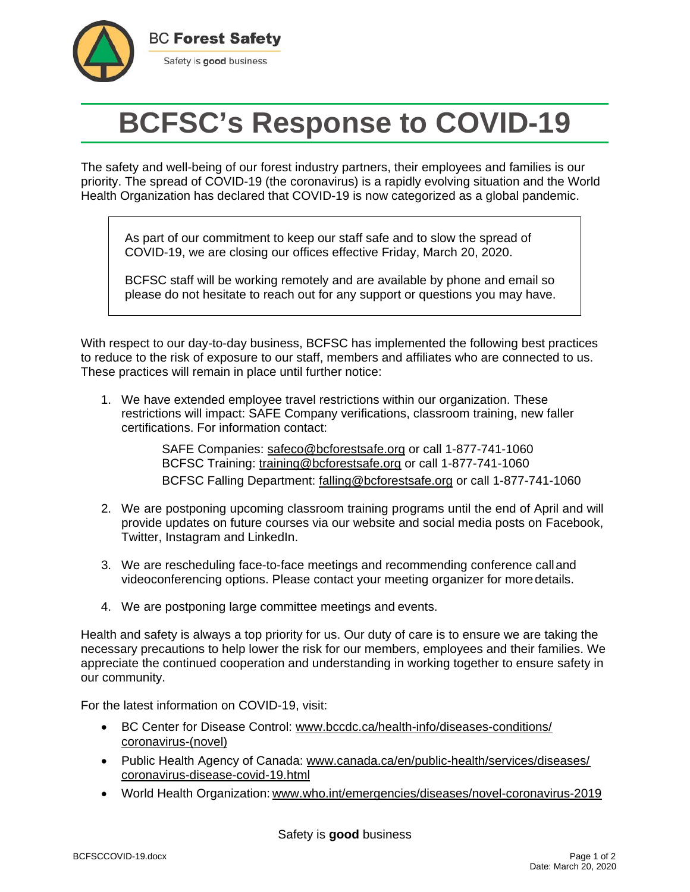

## **BCFSC's Response to COVID-19**

The safety and well-being of our forest industry partners, their employees and families is our priority. The spread of COVID-19 (the coronavirus) is a rapidly evolving situation and the World Health Organization has declared that COVID-19 is now categorized as a global pandemic.

As part of our commitment to keep our staff safe and to slow the spread of COVID-19, we are closing our offices effective Friday, March 20, 2020.

BCFSC staff will be working remotely and are available by phone and email so please do not hesitate to reach out for any support or questions you may have.

With respect to our day-to-day business, BCFSC has implemented the following best practices to reduce to the risk of exposure to our staff, members and affiliates who are connected to us. These practices will remain in place until further notice:

1. We have extended employee travel restrictions within our organization. These restrictions will impact: SAFE Company verifications, classroom training, new faller certifications. For information contact:

> SAFE Companies: [safeco@bcforestsafe.org](mailto:safeco@bcforestsafe.org) or call 1-877-741-1060 BCFSC Training: [training@bcforestsafe.org](mailto:training@bcforestsafe.org) or call 1-877-741-1060 BCFSC Falling Department: [falling@bcforestsafe.org](mailto:falling@bcforestsafe.org) or call 1-877-741-1060

- 2. We are postponing upcoming classroom training programs until the end of April and will provide updates on future courses via our website and social media posts on Facebook, Twitter, Instagram and LinkedIn.
- 3. We are rescheduling face-to-face meetings and recommending conference calland videoconferencing options. Please contact your meeting organizer for moredetails.
- 4. We are postponing large committee meetings and events.

Health and safety is always a top priority for us. Our duty of care is to ensure we are taking the necessary precautions to help lower the risk for our members, employees and their families. We appreciate the continued cooperation and understanding in working together to ensure safety in our community.

For the latest information on COVID-19, visit:

- [BC Center for Disease Control: www.bccdc.ca/health-info/diseases-conditions/](http://www.bccdc.ca/health-info/diseases-conditions/coronavirus-(novel))  [coronavirus-\(novel\)](http://www.bccdc.ca/health-info/diseases-conditions/coronavirus-(novel))
- [Public Health Agency of Canada: www.canada.ca/en/public-health/services/diseases/](http://www.canada.ca/en/public-health/services/diseases/coronavirus-disease-covid-19.html)  [coronavirus-disease-covid-19.html](http://www.canada.ca/en/public-health/services/diseases/coronavirus-disease-covid-19.html)
- [World Health Organization:](http://www.bccdc.ca/health-info/diseases-conditions/coronavirus-(novel)) [www.who.int/emergencies/diseases/novel-coronavirus-2019](http://www.bccdc.ca/health-info/diseases-conditions/coronavirus-(novel))